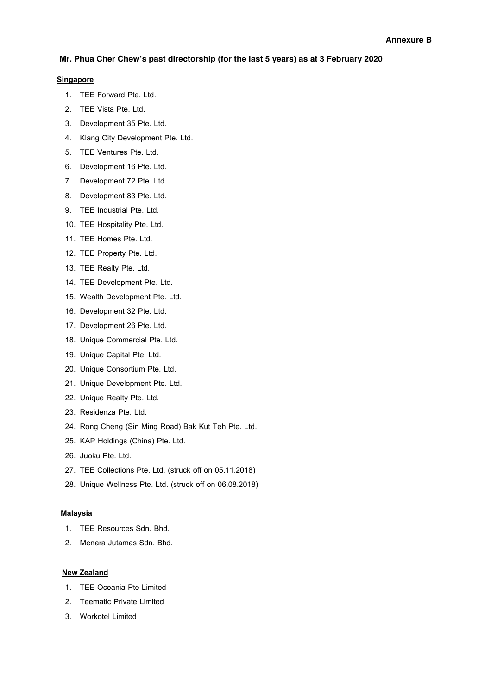## **Mr. Phua Cher Chew's past directorship (for the last 5 years) as at 3 February 2020**

### Singapore

- 1. TEE Forward Pte. Ltd.
- 2. TEE Vista Pte. Ltd.
- 3. Development 35 Pte. Ltd.
- 4. Klang City Development Pte. Ltd.
- 5. TEE Ventures Pte. Ltd.
- 6. Development 16 Pte. Ltd.
- 7. Development 72 Pte. Ltd.
- 8. Development 83 Pte. Ltd.
- 9. TEE Industrial Pte. Ltd.
- 10. TEE Hospitality Pte. Ltd.
- 11. TEE Homes Pte. Ltd.
- 12. TEE Property Pte. Ltd.
- 13. TEE Realty Pte. Ltd.
- 14. TEE Development Pte. Ltd.
- 15. Wealth Development Pte. Ltd.
- 16. Development 32 Pte. Ltd.
- 17. Development 26 Pte. Ltd.
- 18. Unique Commercial Pte. Ltd.
- 19. Unique Capital Pte. Ltd.
- 20. Unique Consortium Pte. Ltd.
- 21. Unique Development Pte. Ltd.
- 22. Unique Realty Pte. Ltd.
- 23. Residenza Pte. Ltd.
- 24. Rong Cheng (Sin Ming Road) Bak Kut Teh Pte. Ltd.
- 25. KAP Holdings (China) Pte. Ltd.
- 26. Juoku Pte. Ltd.
- 27. TEE Collections Pte. Ltd. (struck off on 05.11.2018)
- 28. Unique Wellness Pte. Ltd. (struck off on 06.08.2018)

### Malaysia

- 1. TEE Resources Sdn. Bhd.
- 2. Menara Jutamas Sdn. Bhd.

### New Zealand

- 1. TEE Oceania Pte Limited
- 2. Teematic Private Limited
- 3. Workotel Limited